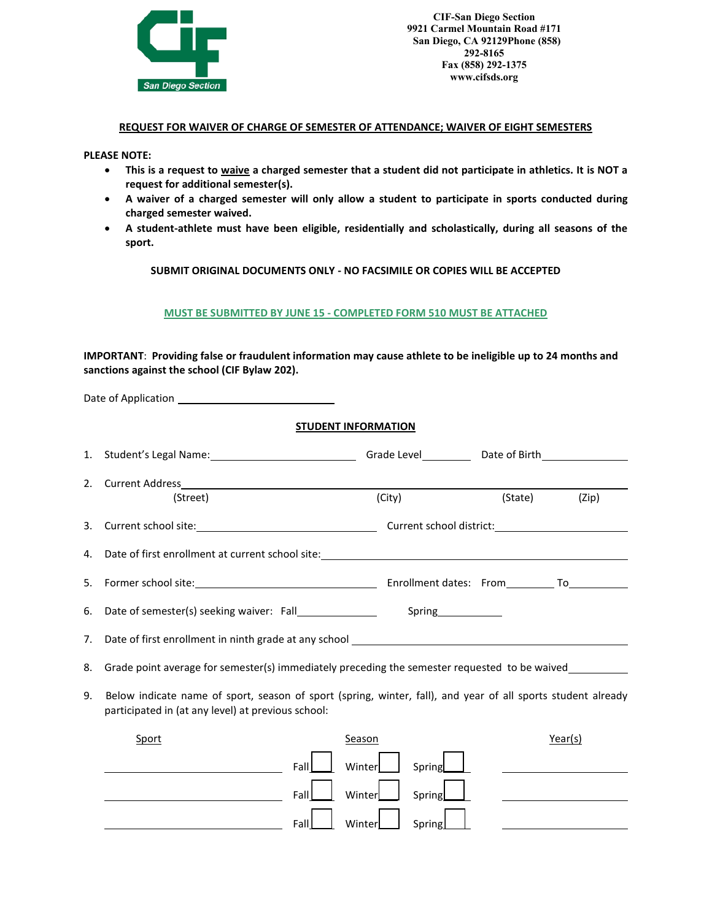

**CIF-San Diego Section 9921 Carmel Mountain Road #171 San Diego, CA 92129Phone (858) 292-8165 Fax (858) 292-1375 www.cifsds.org** 

## **REQUEST FOR WAIVER OF CHARGE OF SEMESTER OF ATTENDANCE; WAIVER OF EIGHT SEMESTERS**

**PLEASE NOTE:** 

- **This is a request to waive a charged semester that a student did not participate in athletics. It is NOT a request for additional semester(s).**
- **A waiver of a charged semester will only allow a student to participate in sports conducted during charged semester waived.**
- **A student-athlete must have been eligible, residentially and scholastically, during all seasons of the sport.**

**SUBMIT ORIGINAL DOCUMENTS ONLY - NO FACSIMILE OR COPIES WILL BE ACCEPTED**

## **MUST BE SUBMITTED BY JUNE 15 - COMPLETED FORM 510 MUST BE ATTACHED**

## **IMPORTANT**: **Providing false or fraudulent information may cause athlete to be ineligible up to 24 months and sanctions against the school (CIF Bylaw 202).**

|    |                                                                                                                                                                                                                                | <b>STUDENT INFORMATION</b> |        |                     |         |         |
|----|--------------------------------------------------------------------------------------------------------------------------------------------------------------------------------------------------------------------------------|----------------------------|--------|---------------------|---------|---------|
| 1. |                                                                                                                                                                                                                                |                            |        |                     |         |         |
| 2. | (Street)                                                                                                                                                                                                                       |                            | (City) |                     | (State) | (Zip)   |
| 3. |                                                                                                                                                                                                                                |                            |        |                     |         |         |
| 4. | Date of first enrollment at current school site: example and a series of the series of the series of the series of the series of the series of the series of the series of the series of the series of the series of the serie |                            |        |                     |         |         |
| 5. |                                                                                                                                                                                                                                |                            |        |                     |         |         |
| 6. | Date of semester(s) seeking waiver: Fall________________                                                                                                                                                                       |                            |        | Spring_____________ |         |         |
| 7. | Date of first enrollment in ninth grade at any school ___________________________                                                                                                                                              |                            |        |                     |         |         |
| 8. | Grade point average for semester(s) immediately preceding the semester requested to be waived                                                                                                                                  |                            |        |                     |         |         |
| 9. | Below indicate name of sport, season of sport (spring, winter, fall), and year of all sports student already<br>participated in (at any level) at previous school:                                                             |                            |        |                     |         |         |
|    | <b>Sport</b>                                                                                                                                                                                                                   |                            | Season |                     |         | Year(s) |
|    |                                                                                                                                                                                                                                | Fall                       | Winter | Spring              |         |         |
|    |                                                                                                                                                                                                                                | Fall                       | Winter | Spring              |         |         |
|    |                                                                                                                                                                                                                                | Fall                       | Winter | Spring              |         |         |